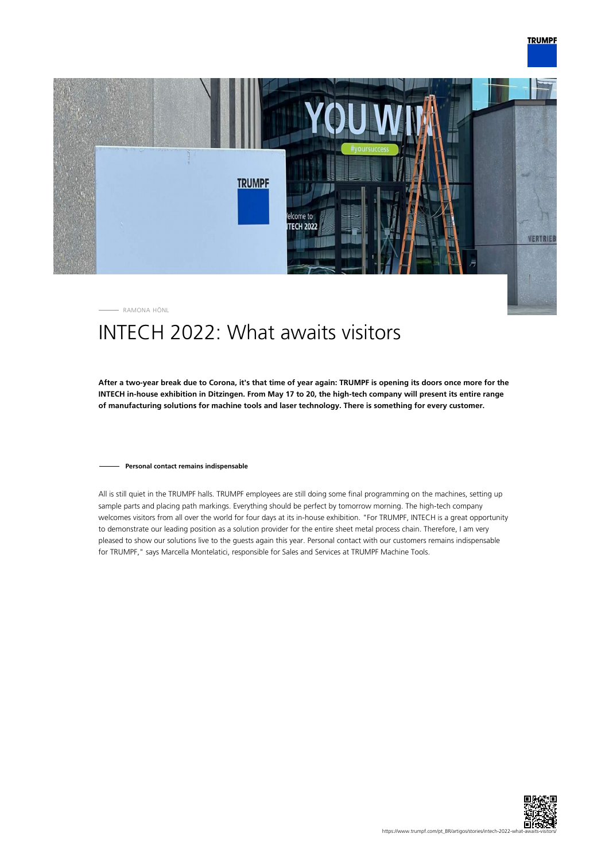

RAMONA HÖNL

# INTECH 2022: What awaits visitors

**After a two-year break due to Corona, it's that time of year again: TRUMPF is opening its doors once more for the INTECH in-house exhibition in Ditzingen. From May 17 to 20, the high-tech company will present its entire range of manufacturing solutions for machine tools and laser technology. There is something for every customer.**

#### **Personal contact remains indispensable**

All is still quiet in the TRUMPF halls. TRUMPF employees are still doing some final programming on the machines, setting up sample parts and placing path markings. Everything should be perfect by tomorrow morning. The high-tech company welcomes visitors from all over the world for four days at its in-house exhibition. "For TRUMPF, INTECH is a great opportunity to demonstrate our leading position as a solution provider for the entire sheet metal process chain. Therefore, I am very pleased to show our solutions live to the guests again this year. Personal contact with our customers remains indispensable for TRUMPF," says Marcella Montelatici, responsible for Sales and Services at TRUMPF Machine Tools.

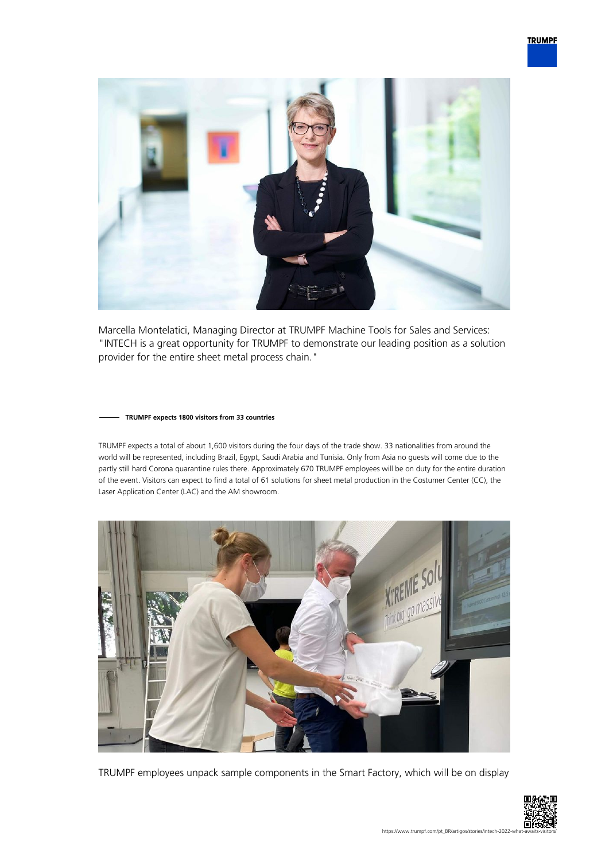

Marcella Montelatici, Managing Director at TRUMPF Machine Tools for Sales and Services: "INTECH is a great opportunity for TRUMPF to demonstrate our leading position as a solution provider for the entire sheet metal process chain."

### **TRUMPF expects 1800 visitors from 33 countries**

TRUMPF expects a total of about 1,600 visitors during the four days of the trade show. 33 nationalities from around the world will be represented, including Brazil, Egypt, Saudi Arabia and Tunisia. Only from Asia no guests will come due to the partly still hard Corona quarantine rules there. Approximately 670 TRUMPF employees will be on duty for the entire duration of the event. Visitors can expect to find a total of 61 solutions for sheet metal production in the Costumer Center (CC), the Laser Application Center (LAC) and the AM showroom.



TRUMPF employees unpack sample components in the Smart Factory, which will be on display